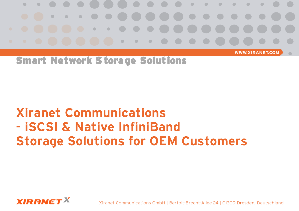

**WWW.XIRANET.COM** 

 $\blacksquare$ 

Smart Network Storage Solutions

# **Xiranet Communications - iSCSI & Native InfiniBand Storage Solutions for OEM Customers**



Xiranet Communications GmbH | Bertolt-Brecht-Allee 24 | 01309 Dresden, Deutschland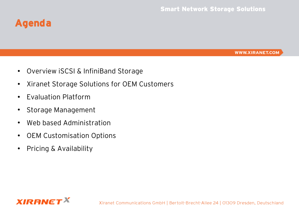### **Agenda**

- Overview iSCSI & InfiniBand Storage
- Xiranet Storage Solutions for OEM Customers
- Evaluation Platform
- Storage Management
- Web based Administration
- OEM Customisation Options
- Pricing & Availability

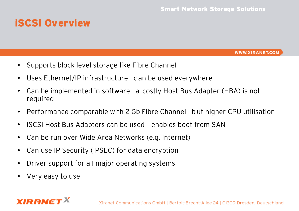### **iSCSI Overview**

- Supports block level storage like Fibre Channel
- Uses Ethernet/IP infrastructure c an be used everywhere
- Can be implemented in software a costly Host Bus Adapter (HBA) is not required
- Performance comparable with 2 Gb Fibre Channel but higher CPU utilisation
- iSCSI Host Bus Adapters can be used enables boot from SAN
- Can be run over Wide Area Networks (e.g. Internet)
- Can use IP Security (IPSEC) for data encryption
- Driver support for all major operating systems
- Very easy to use

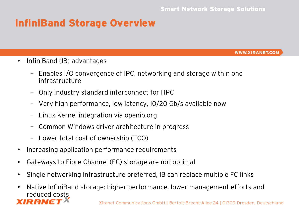#### **InfiniBand Storage Overview**

- InfiniBand (IB) advantages
	- Enables I/O convergence of IPC, networking and storage within one infrastructure
	- Only industry standard interconnect for HPC
	- Very high performance, low latency, 10/20 Gb/s available now
	- Linux Kernel integration via openib.org
	- Common Windows driver architecture in progress
	- Lower total cost of ownership (TCO)
- Increasing application performance requirements
- Gateways to Fibre Channel (FC) storage are not optimal
- Single networking infrastructure preferred, IB can replace multiple FC links
- Native InfiniBand storage: higher performance, lower management efforts and reduced costsIRANG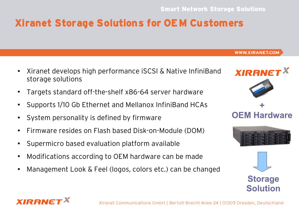### **Xiranet Storage Solutions for OEM Customers**

- Xiranet develops high performance iSCSI & Native InfiniBand storage solutions
- Targets standard off-the-shelf x86-64 server hardware
- Supports 1/10 Gb Ethernet and Mellanox InfiniBand HCAs
- System personality is defined by firmware
- Firmware resides on Flash based Disk-on-Module (DOM)
- Supermicro based evaluation platform available
- Modifications according to OEM hardware can be made
- Management Look & Feel (logos, colors etc.) can be changed









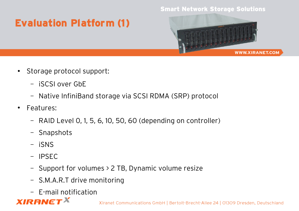#### Smart Network Storage Solutions

## **Evaluation Platform (1)**



- Storage protocol support:
	- iSCSI over GbE
	- Native InfiniBand storage via SCSI RDMA (SRP) protocol
- Features:
	- RAID Level 0, 1, 5, 6, 10, 50, 60 (depending on controller)
	- Snapshots
	- iSNS
	- IPSEC
	- Support for volumes > 2 TB, Dynamic volume resize
	- S.M.A.R.T drive monitoring
	- E-mail notification

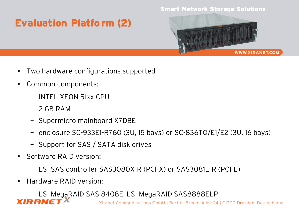#### Smart Network Storage Solutions

## **Evaluation Platfo rm (2)**



- Two hardware configurations supported
- Common components:
	- INTEL XEON 51xx CPU
	- $-$  2 GB RAM
	- Supermicro mainboard X7DBE
	- enclosure SC-933E1-R760 (3U, 15 bays) or SC-836TQ/E1/E2 (3U, 16 bays)
	- Support for SAS / SATA disk drives
- Software RAID version:
	- LSI SAS controller SAS3080X-R (PCI-X) or SAS3081E-R (PCI-E)
- Hardware RAID version:
- LSI MegaRAID SAS 8408E, LSI MegaRAID SAS8888ELP**YIRRNE**

Xiranet Communications GmbH | Bertolt-Brecht-Allee 24 | 01309 Dresden, Deutschland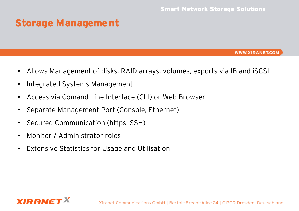### **Storage Management**

- Allows Management of disks, RAID arrays, volumes, exports via IB and iSCSI
- Integrated Systems Management
- Access via Comand Line Interface (CLI) or Web Browser
- Separate Management Port (Console, Ethernet)
- Secured Communication (https, SSH)
- Monitor / Administrator roles
- Extensive Statistics for Usage and Utilisation

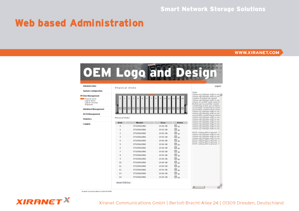#### Smart Network Storage Solutions

#### **Web based Administration**

#### **WWW.XIRANET.COM**



Kiranet Communications GribH @ 2006

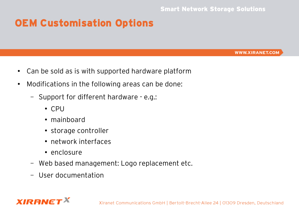### **OEM Customisation Options**

- Can be sold as is with supported hardware platform
- Modifications in the following areas can be done:
	- Support for different hardware e.g.:
		- CPU
		- mainboard
		- storage controller
		- network interfaces
		- enclosure
	- Web based management: Logo replacement etc.
	- User documentation

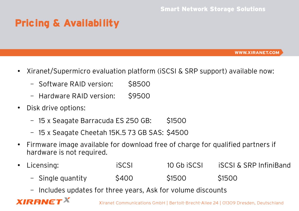## **Pricing & Availability**

**WWW.XIRANET.COM** 

- Xiranet/Supermicro evaluation platform (iSCSI & SRP support) available now:
	- Software RAID version: \$8500
	- Hardware RAID version: \$9500
- Disk drive options:

*XIRANE* 

- 15 x Seagate Barracuda ES 250 GB: \$1500
- 15 x Seagate Cheetah 15K.5 73 GB SAS: \$4500
- Firmware image available for download free of charge for qualified partners if hardware is not required.
- Licensing: iSCSI 10 Gb iSCSI iSCSI & SRP InfiniBand
	- Single quantity  $\sim$  \$400 \$1500 \$1500
	- Includes updates for three years, Ask for volume discounts